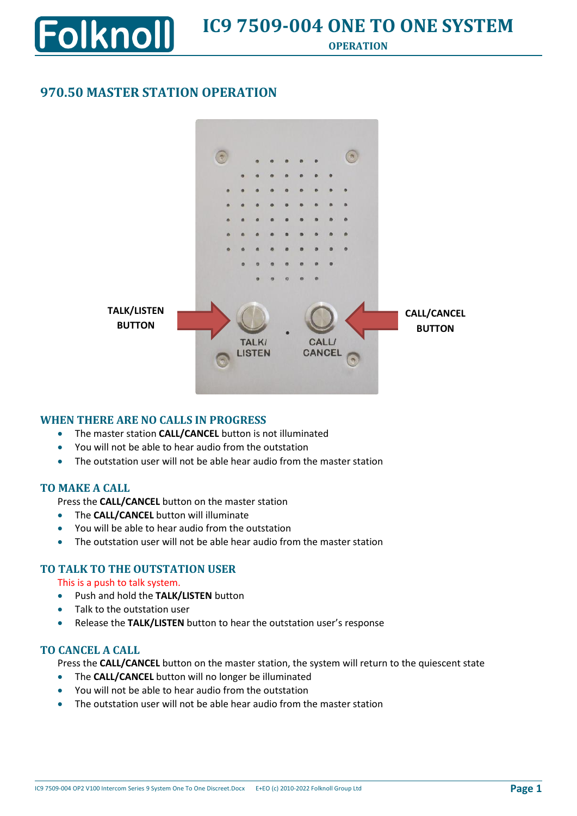## **970.50 MASTER STATION OPERATION**

**olknoll** 



### **WHEN THERE ARE NO CALLS IN PROGRESS**

- The master station **CALL/CANCEL** button is not illuminated
- You will not be able to hear audio from the outstation
- The outstation user will not be able hear audio from the master station

### **TO MAKE A CALL**

Press the **CALL/CANCEL** button on the master station

- The **CALL/CANCEL** button will illuminate
- You will be able to hear audio from the outstation
- The outstation user will not be able hear audio from the master station

### **TO TALK TO THE OUTSTATION USER**

This is a push to talk system.

- Push and hold the **TALK/LISTEN** button
- Talk to the outstation user
- Release the **TALK/LISTEN** button to hear the outstation user's response

### **TO CANCEL A CALL**

Press the **CALL/CANCEL** button on the master station, the system will return to the quiescent state

- The **CALL/CANCEL** button will no longer be illuminated
- You will not be able to hear audio from the outstation
- The outstation user will not be able hear audio from the master station